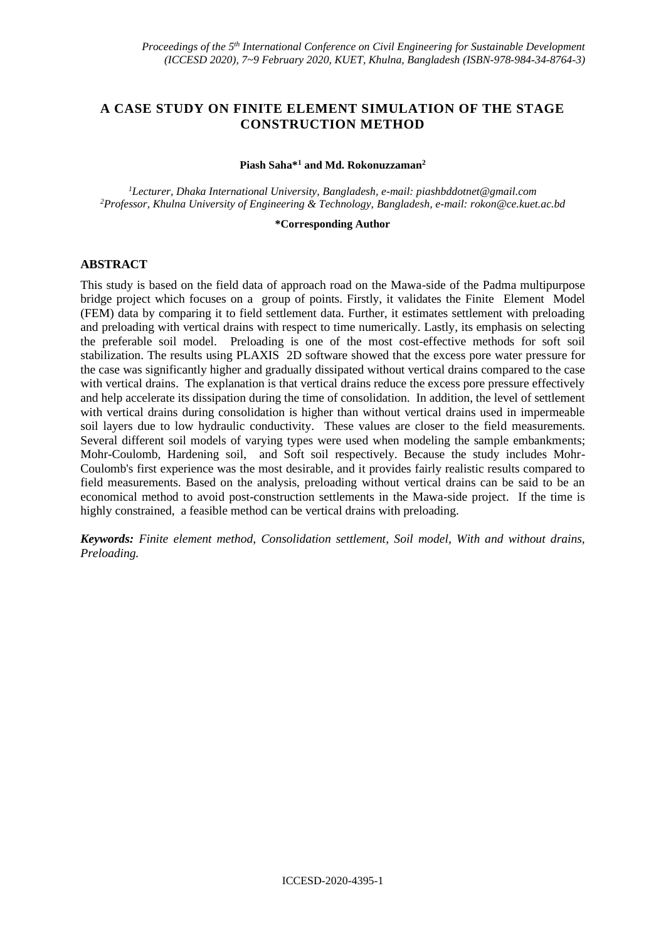# **A CASE STUDY ON FINITE ELEMENT SIMULATION OF THE STAGE CONSTRUCTION METHOD**

#### **Piash Saha\*<sup>1</sup> and Md. Rokonuzzaman<sup>2</sup>**

*<sup>1</sup>Lecturer, Dhaka International University, Bangladesh, e-mail: piashbddotnet@gmail.com <sup>2</sup>Professor, Khulna University of Engineering & Technology, Bangladesh, e-mail: rokon@ce.kuet.ac.bd*

#### **\*Corresponding Author**

### **ABSTRACT**

This study is based on the field data of approach road on the Mawa-side of the Padma multipurpose bridge project which focuses on a group of points. Firstly, it validates the Finite Element Model (FEM) data by comparing it to field settlement data. Further, it estimates settlement with preloading and preloading with vertical drains with respect to time numerically. Lastly, its emphasis on selecting the preferable soil model. Preloading is one of the most cost-effective methods for soft soil stabilization. The results using PLAXIS 2D software showed that the excess pore water pressure for the case was significantly higher and gradually dissipated without vertical drains compared to the case with vertical drains. The explanation is that vertical drains reduce the excess pore pressure effectively and help accelerate its dissipation during the time of consolidation. In addition, the level of settlement with vertical drains during consolidation is higher than without vertical drains used in impermeable soil layers due to low hydraulic conductivity. These values are closer to the field measurements. Several different soil models of varying types were used when modeling the sample embankments; Mohr-Coulomb, Hardening soil, and Soft soil respectively. Because the study includes Mohr-Coulomb's first experience was the most desirable, and it provides fairly realistic results compared to field measurements. Based on the analysis, preloading without vertical drains can be said to be an economical method to avoid post-construction settlements in the Mawa-side project. If the time is highly constrained, a feasible method can be vertical drains with preloading.

*Keywords: Finite element method, Consolidation settlement, Soil model, With and without drains, Preloading.*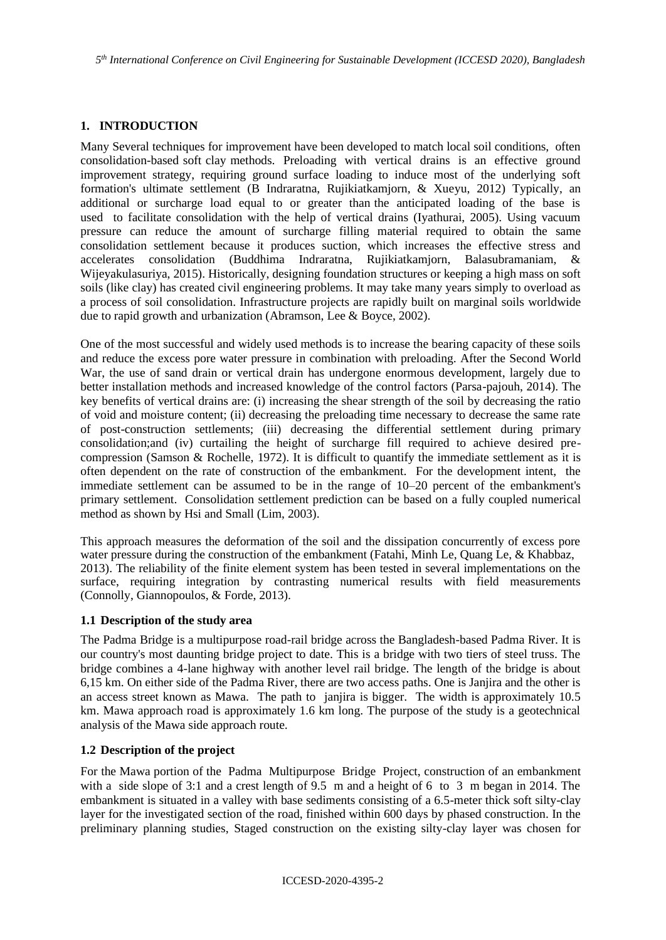# **1. INTRODUCTION**

Many Several techniques for improvement have been developed to match local soil conditions, often consolidation-based soft clay methods. Preloading with vertical drains is an effective ground improvement strategy, requiring ground surface loading to induce most of the underlying soft formation's ultimate settlement (B Indraratna, Rujikiatkamjorn, & Xueyu, 2012) Typically, an additional or surcharge load equal to or greater than the anticipated loading of the base is used to facilitate consolidation with the help of vertical drains (Iyathurai, 2005). Using vacuum pressure can reduce the amount of surcharge filling material required to obtain the same consolidation settlement because it produces suction, which increases the effective stress and accelerates consolidation (Buddhima Indraratna, Rujikiatkamjorn, Balasubramaniam, & Wijeyakulasuriya, 2015). Historically, designing foundation structures or keeping a high mass on soft soils (like clay) has created civil engineering problems. It may take many years simply to overload as a process of soil consolidation. Infrastructure projects are rapidly built on marginal soils worldwide due to rapid growth and urbanization (Abramson, Lee & Boyce, 2002).

One of the most successful and widely used methods is to increase the bearing capacity of these soils and reduce the excess pore water pressure in combination with preloading. After the Second World War, the use of sand drain or vertical drain has undergone enormous development, largely due to better installation methods and increased knowledge of the control factors (Parsa-pajouh, 2014). The key benefits of vertical drains are: (i) increasing the shear strength of the soil by decreasing the ratio of void and moisture content; (ii) decreasing the preloading time necessary to decrease the same rate of post-construction settlements; (iii) decreasing the differential settlement during primary consolidation;and (iv) curtailing the height of surcharge fill required to achieve desired precompression (Samson & Rochelle, 1972). It is difficult to quantify the immediate settlement as it is often dependent on the rate of construction of the embankment. For the development intent, the immediate settlement can be assumed to be in the range of 10–20 percent of the embankment's primary settlement. Consolidation settlement prediction can be based on a fully coupled numerical method as shown by Hsi and Small (Lim, 2003).

This approach measures the deformation of the soil and the dissipation concurrently of excess pore water pressure during the construction of the embankment (Fatahi, Minh Le, Quang Le, & Khabbaz, 2013). The reliability of the finite element system has been tested in several implementations on the surface, requiring integration by contrasting numerical results with field measurements (Connolly, Giannopoulos, & Forde, 2013).

### **1.1 Description of the study area**

The Padma Bridge is a multipurpose road-rail bridge across the Bangladesh-based Padma River. It is our country's most daunting bridge project to date. This is a bridge with two tiers of steel truss. The bridge combines a 4-lane highway with another level rail bridge. The length of the bridge is about 6,15 km. On either side of the Padma River, there are two access paths. One is Janjira and the other is an access street known as Mawa. The path to janjira is bigger. The width is approximately 10.5 km. Mawa approach road is approximately 1.6 km long. The purpose of the study is a geotechnical analysis of the Mawa side approach route.

# **1.2 Description of the project**

For the Mawa portion of the Padma Multipurpose Bridge Project, construction of an embankment with a side slope of 3:1 and a crest length of 9.5 m and a height of 6 to 3 m began in 2014. The embankment is situated in a valley with base sediments consisting of a 6.5-meter thick soft silty-clay layer for the investigated section of the road, finished within 600 days by phased construction. In the preliminary planning studies, Staged construction on the existing silty-clay layer was chosen for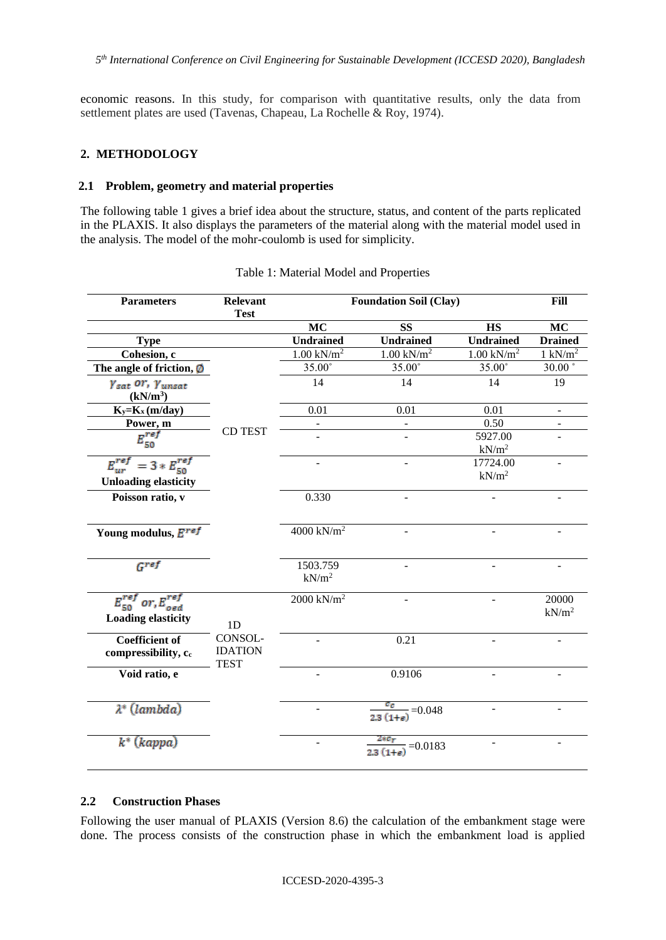economic reasons. In this study, for comparison with quantitative results, only the data from settlement plates are used (Tavenas, Chapeau, La Rochelle & Roy, 1974).

## **2. METHODOLOGY**

### **2.1 Problem, geometry and material properties**

The following table 1 gives a brief idea about the structure, status, and content of the parts replicated in the PLAXIS. It also displays the parameters of the material along with the material model used in the analysis. The model of the mohr-coulomb is used for simplicity.

| <b>Parameters</b>                                                | <b>Relevant</b>                          | <b>Foundation Soil (Clay)</b> |                                |                               | Fill                       |
|------------------------------------------------------------------|------------------------------------------|-------------------------------|--------------------------------|-------------------------------|----------------------------|
|                                                                  | <b>Test</b>                              |                               |                                |                               |                            |
|                                                                  |                                          | MC                            | <b>SS</b>                      | <b>HS</b>                     | <b>MC</b>                  |
| <b>Type</b>                                                      |                                          | <b>Undrained</b>              | <b>Undrained</b>               | <b>Undrained</b>              | <b>Drained</b>             |
| Cohesion, c                                                      |                                          | $1.00$ kN/m <sup>2</sup>      | $1.00 \text{ kN/m}^2$          | $1.00 \text{ kN/m}^2$         | $1 \text{ kN/m}^2$         |
| The angle of friction, $\emptyset$                               |                                          | 35.00°                        | 35.00°                         | 35.00°                        | $30.00\,$ $^{\circ}$       |
| Y <sub>sat</sub> or, Y <sub>unsat</sub><br>(kN/m <sup>3</sup> )  |                                          | 14                            | 14                             | 14                            | 19                         |
| $K_y=K_x(m/day)$                                                 |                                          | 0.01                          | 0.01                           | 0.01                          | $\blacksquare$             |
| Power, m                                                         |                                          |                               |                                | 0.50                          | $\overline{\phantom{a}}$   |
| $E_{50}^{ref}$                                                   | <b>CD TEST</b>                           |                               |                                | 5927.00<br>kN/m <sup>2</sup>  |                            |
| $E_{ur}^{ref} = 3 * E_{50}^{ref}$<br><b>Unloading elasticity</b> |                                          |                               | ÷.                             | 17724.00<br>kN/m <sup>2</sup> | $\overline{a}$             |
| Poisson ratio, v                                                 |                                          | 0.330                         |                                |                               |                            |
| Young modulus, $E^{ref}$                                         |                                          | 4000 kN/ $m^2$                |                                |                               |                            |
| G <sup>ref</sup>                                                 |                                          | 1503.759<br>kN/m <sup>2</sup> |                                |                               |                            |
| $E_{50}^{ref}$ or, $E_{oed}^{ref}$<br><b>Loading elasticity</b>  | 1D                                       | $2000$ kN/m <sup>2</sup>      |                                |                               | 20000<br>kN/m <sup>2</sup> |
| <b>Coefficient of</b><br>compressibility, co                     | CONSOL-<br><b>IDATION</b><br><b>TEST</b> |                               | 0.21                           |                               |                            |
| Void ratio, e                                                    |                                          |                               | 0.9106                         |                               |                            |
| $\lambda^*$ (lambda)                                             |                                          |                               | $=0.048$<br>2.3 $(1+\epsilon)$ |                               |                            |
| $k^*$ (kappa)                                                    |                                          |                               | $=0.0183$<br>$2.3(1+e)$        |                               |                            |
|                                                                  |                                          |                               |                                |                               |                            |

#### **2.2 Construction Phases**

Following the user manual of PLAXIS (Version 8.6) the calculation of the embankment stage were done. The process consists of the construction phase in which the embankment load is applied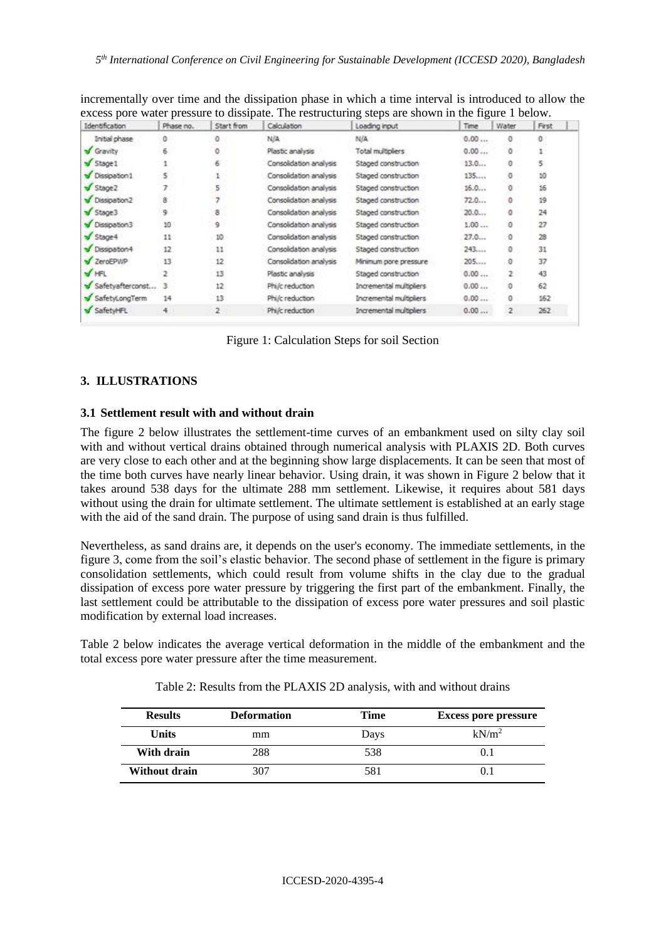| Identification     | Phase no.            | Start from     | Calculation            | Loading input           | Time | Water | First |
|--------------------|----------------------|----------------|------------------------|-------------------------|------|-------|-------|
| Initial phase      |                      |                | N/A                    | N/A                     | 0.00 |       |       |
| Gravity            |                      |                | Plastic analysis       | Total multipliers       | 0.00 |       |       |
| $\sqrt{$ Stage1    |                      | 6              | Consolidation analysis | Staged construction     | 13.0 |       |       |
| V Dissipation1     |                      |                | Consolidation analysis | Staged construction     | 135  | ō     | 10    |
| $\sqrt{$ Stage2    |                      | 5              | Consolidation analysis | Staged construction     | 16.0 | ō     | 16    |
| V Dissipation2     | ŝ                    |                | Consolidation analysis | Staged construction     | 72.0 | o     | 19    |
| $\sqrt{$ Stage3    | 9.                   | 8              | Consolidation analysis | Staged construction     | 20.0 |       | 24    |
| V Dissipation3     | 10                   | 9              | Consolidation analysis | Staged construction     | 1.00 | o     | 27    |
| $\sqrt{$ Stage4    | 11                   | 10             | Consolidation analysis | Staged construction     | 27.0 | Û     | 28    |
| Dissipation4       | $12^{1}$             | 11             | Consolidation analysis | Staged construction     | 243  |       | 31    |
| V ZeroEPWP         | 13                   | 12             | Consolidation analysis | Minimum pore pressure   | 205  |       | 37    |
| V HFL              |                      | 13             | Plastic analysis       | Staged construction     | 0.00 |       | 43    |
| Safetyafterconst 3 |                      | 12             | Phi/c reduction        | Incremental multipliers | 0.00 | ٥     | 62    |
| SafetyLongTerm     | 14                   | 13             | Phi/c reduction        | Incremental multipliers | 0.00 | 0     | 162   |
| SafetyHFL          | $\ddot{\phantom{1}}$ | $\overline{2}$ | Phi/c reduction        | Incremental multipliers | 0.00 |       | 262   |

incrementally over time and the dissipation phase in which a time interval is introduced to allow the excess pore water pressure to dissipate. The restructuring steps are shown in the figure 1 below.

Figure 1: Calculation Steps for soil Section

## **3. ILLUSTRATIONS**

### **3.1 Settlement result with and without drain**

The figure 2 below illustrates the settlement-time curves of an embankment used on silty clay soil with and without vertical drains obtained through numerical analysis with PLAXIS 2D. Both curves are very close to each other and at the beginning show large displacements. It can be seen that most of the time both curves have nearly linear behavior. Using drain, it was shown in Figure 2 below that it takes around 538 days for the ultimate 288 mm settlement. Likewise, it requires about 581 days without using the drain for ultimate settlement. The ultimate settlement is established at an early stage with the aid of the sand drain. The purpose of using sand drain is thus fulfilled.

Nevertheless, as sand drains are, it depends on the user's economy. The immediate settlements, in the figure 3, come from the soil's elastic behavior. The second phase of settlement in the figure is primary consolidation settlements, which could result from volume shifts in the clay due to the gradual dissipation of excess pore water pressure by triggering the first part of the embankment. Finally, the last settlement could be attributable to the dissipation of excess pore water pressures and soil plastic modification by external load increases.

Table 2 below indicates the average vertical deformation in the middle of the embankment and the total excess pore water pressure after the time measurement.

| <b>Results</b> | <b>Deformation</b> | Time | <b>Excess pore pressure</b> |
|----------------|--------------------|------|-----------------------------|
| <b>Units</b>   | mm                 | Days | kN/m <sup>2</sup>           |
| With drain     | 288                | 538  |                             |
| Without drain  | 307                | 581  |                             |

Table 2: Results from the PLAXIS 2D analysis, with and without drains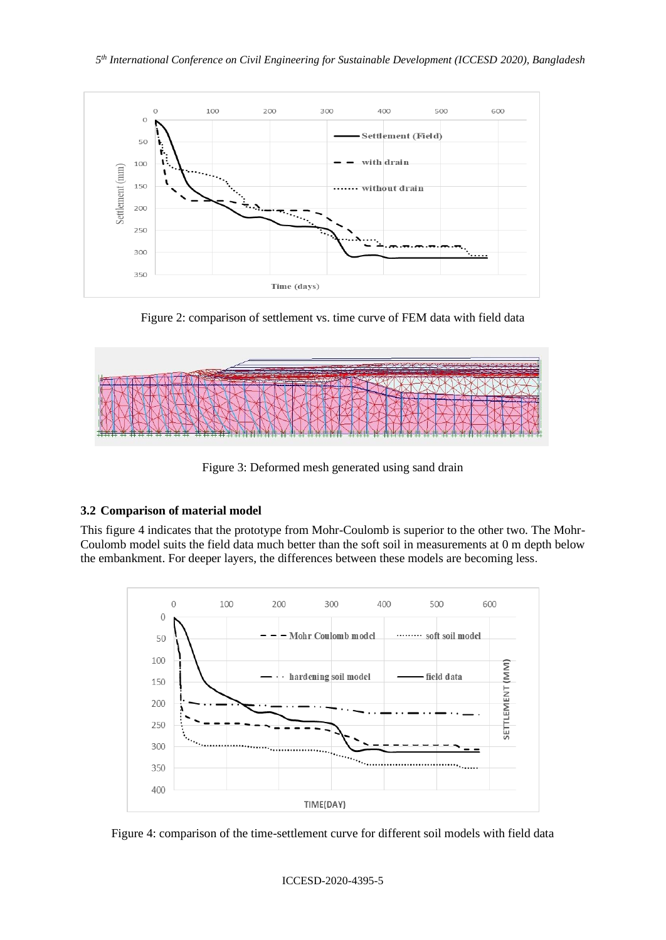

Figure 2: comparison of settlement vs. time curve of FEM data with field data



Figure 3: Deformed mesh generated using sand drain

# **3.2 Comparison of material model**

This figure 4 indicates that the prototype from Mohr-Coulomb is superior to the other two. The Mohr-Coulomb model suits the field data much better than the soft soil in measurements at 0 m depth below the embankment. For deeper layers, the differences between these models are becoming less.



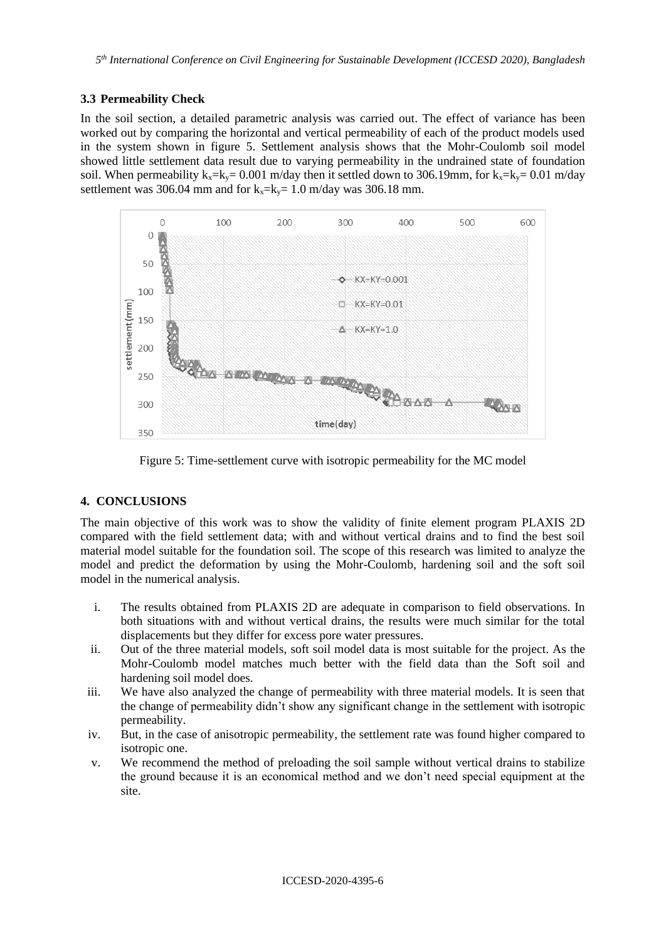## **3.3 Permeability Check**

In the soil section, a detailed parametric analysis was carried out. The effect of variance has been worked out by comparing the horizontal and vertical permeability of each of the product models used in the system shown in figure 5. Settlement analysis shows that the Mohr-Coulomb soil model showed little settlement data result due to varying permeability in the undrained state of foundation soil. When permeability  $k_x=k_y= 0.001$  m/day then it settled down to 306.19mm, for  $k_x=k_y= 0.01$  m/day settlement was 306.04 mm and for  $k_x=k_y=1.0$  m/day was 306.18 mm.



Figure 5: Time-settlement curve with isotropic permeability for the MC model

# **4. CONCLUSIONS**

The main objective of this work was to show the validity of finite element program PLAXIS 2D compared with the field settlement data; with and without vertical drains and to find the best soil material model suitable for the foundation soil. The scope of this research was limited to analyze the model and predict the deformation by using the Mohr-Coulomb, hardening soil and the soft soil model in the numerical analysis.

- i. The results obtained from PLAXIS 2D are adequate in comparison to field observations. In both situations with and without vertical drains, the results were much similar for the total displacements but they differ for excess pore water pressures.
- ii. Out of the three material models, soft soil model data is most suitable for the project. As the Mohr-Coulomb model matches much better with the field data than the Soft soil and hardening soil model does.
- iii. We have also analyzed the change of permeability with three material models. It is seen that the change of permeability didn't show any significant change in the settlement with isotropic permeability.
- iv. But, in the case of anisotropic permeability, the settlement rate was found higher compared to isotropic one.
- v. We recommend the method of preloading the soil sample without vertical drains to stabilize the ground because it is an economical method and we don't need special equipment at the site.